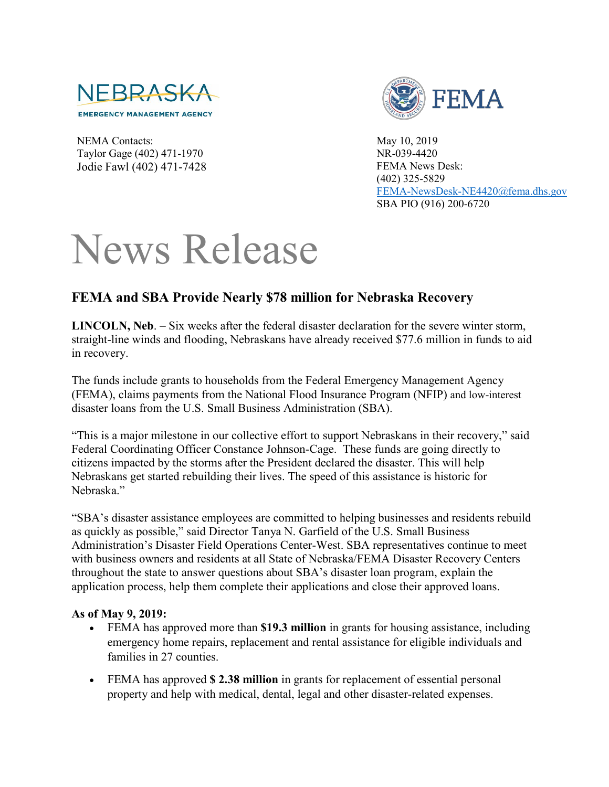

NEMA Contacts: Taylor Gage (402) 471-1970 Jodie Fawl (402) 471-7428



May 10, 2019 NR-039-4420 FEMA News Desk: (402) 325-5829 [FEMA-NewsDesk-NE4420@fema.dhs.gov](mailto:FEMA-NewsDesk-NE4420@fema.dhs.gov) SBA PIO (916) 200-6720

## News Release

## **FEMA and SBA Provide Nearly \$78 million for Nebraska Recovery**

**LINCOLN, Neb**. – Six weeks after the federal disaster declaration for the severe winter storm, straight-line winds and flooding, Nebraskans have already received \$77.6 million in funds to aid in recovery.

The funds include grants to households from the Federal Emergency Management Agency (FEMA), claims payments from the National Flood Insurance Program (NFIP) and low-interest disaster loans from the U.S. Small Business Administration (SBA).

"This is a major milestone in our collective effort to support Nebraskans in their recovery," said Federal Coordinating Officer Constance Johnson-Cage. These funds are going directly to citizens impacted by the storms after the President declared the disaster. This will help Nebraskans get started rebuilding their lives. The speed of this assistance is historic for Nebraska."

"SBA's disaster assistance employees are committed to helping businesses and residents rebuild as quickly as possible," said Director Tanya N. Garfield of the U.S. Small Business Administration's Disaster Field Operations Center-West. SBA representatives continue to meet with business owners and residents at all State of Nebraska/FEMA Disaster Recovery Centers throughout the state to answer questions about SBA's disaster loan program, explain the application process, help them complete their applications and close their approved loans.

## **As of May 9, 2019:**

- FEMA has approved more than **\$19.3 million** in grants for housing assistance, including emergency home repairs, replacement and rental assistance for eligible individuals and families in 27 counties.
- FEMA has approved **\$ 2.38 million** in grants for replacement of essential personal property and help with medical, dental, legal and other disaster-related expenses.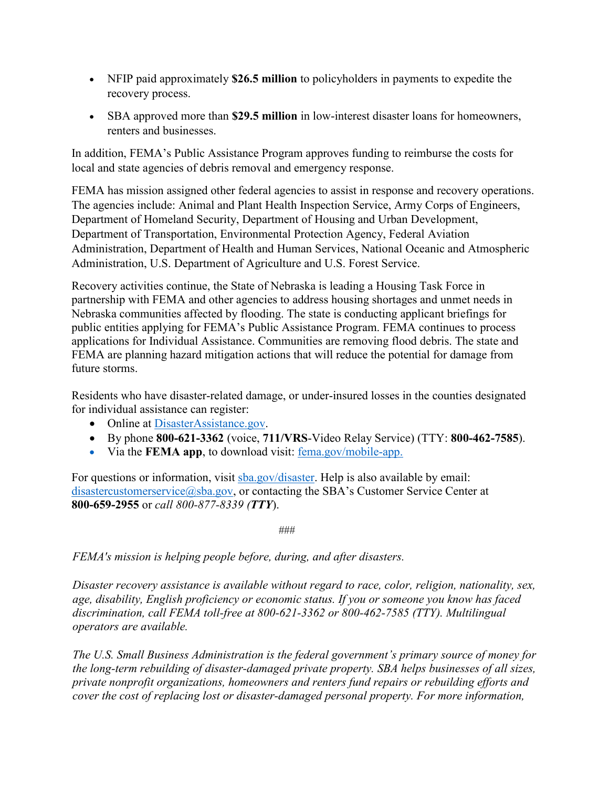- NFIP paid approximately **\$26.5 million** to policyholders in payments to expedite the recovery process.
- SBA approved more than **\$29.5 million** in low-interest disaster loans for homeowners, renters and businesses.

In addition, FEMA's Public Assistance Program approves funding to reimburse the costs for local and state agencies of debris removal and emergency response.

FEMA has mission assigned other federal agencies to assist in response and recovery operations. The agencies include: Animal and Plant Health Inspection Service, Army Corps of Engineers, Department of Homeland Security, Department of Housing and Urban Development, Department of Transportation, Environmental Protection Agency, Federal Aviation Administration, Department of Health and Human Services, National Oceanic and Atmospheric Administration, U.S. Department of Agriculture and U.S. Forest Service.

Recovery activities continue, the State of Nebraska is leading a Housing Task Force in partnership with FEMA and other agencies to address housing shortages and unmet needs in Nebraska communities affected by flooding. The state is conducting applicant briefings for public entities applying for FEMA's Public Assistance Program. FEMA continues to process applications for Individual Assistance. Communities are removing flood debris. The state and FEMA are planning hazard mitigation actions that will reduce the potential for damage from future storms.

Residents who have disaster-related damage, or under-insured losses in the counties designated for individual assistance can register:

- Online at [DisasterAssistance.gov.](http://www.disasterassistance.gov/)
- By phone **800-621-3362** (voice, **711/VRS**-Video Relay Service) (TTY: **800-462-7585**).
- Via the **FEMA app**, to download visit: [fema.gov/mobile-app.](https://www.fema.gov/mobile-app)

For questions or information, visit [sba.gov/disaster.](http://www.sba.gov/disaster) Help is also available by email: [disastercustomerservice@sba.gov,](mailto:disastercustomerservice@sba.gov) or contacting the SBA's Customer Service Center at **800-659-2955** or *call 800-877-8339 (TTY*).

*###*

*FEMA's mission is helping people before, during, and after disasters.*

*Disaster recovery assistance is available without regard to race, color, religion, nationality, sex, age, disability, English proficiency or economic status. If you or someone you know has faced discrimination, call FEMA toll-free at 800-621-3362 or 800-462-7585 (TTY). Multilingual operators are available.* 

*The U.S. Small Business Administration is the federal government's primary source of money for the long-term rebuilding of disaster-damaged private property. SBA helps businesses of all sizes, private nonprofit organizations, homeowners and renters fund repairs or rebuilding efforts and cover the cost of replacing lost or disaster-damaged personal property. For more information,*